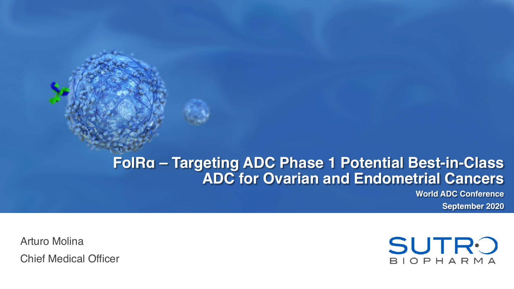## **FolRα – Targeting ADC Phase 1 Potential Best-in-Class ADC for Ovarian and Endometrial Cancers**

**World ADC Conference**

**September 2020**

Arturo Molina Chief Medical Officer

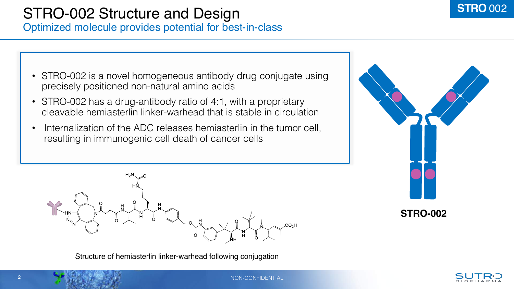### STRO-002 Structure and Design Optimized molecule provides potential for best-in-class

- STRO-002 is a novel homogeneous antibody drug conjugate using precisely positioned non-natural amino acids
- STRO-002 has a drug-antibody ratio of 4:1, with a proprietary cleavable hemiasterlin linker-warhead that is stable in circulation
- Internalization of the ADC releases hemiasterlin in the tumor cell, resulting in immunogenic cell death of cancer cells





Structure of hemiasterlin linker-warhead following conjugation

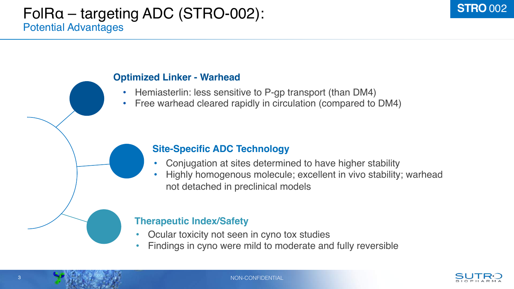#### **Optimized Linker - Warhead**

- Hemiasterlin: less sensitive to P-qp transport (than DM4)
- Free warhead cleared rapidly in circulation (compared to DM4)

#### **Site-Specific ADC Technology**

- Conjugation at sites determined to have higher stability
- Highly homogenous molecule; excellent in vivo stability; warhead not detached in preclinical models

#### **Therapeutic Index/Safety**

- Ocular toxicity not seen in cyno tox studies
- Findings in cyno were mild to moderate and fully reversible

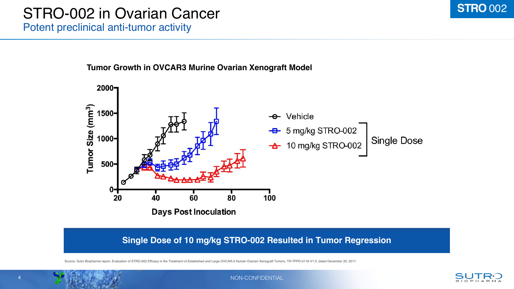## STRO-002 in Ovarian Cancer

Potent preclinical anti-tumor activity



**Tumor Growth in OVCAR3 Murine Ovarian Xenograft Model**

**Single Dose of 10 mg/kg STRO-002 Resulted in Tumor Regression**

Source: Sutro Biopharma report, Evaluation of STRO-002 Efficacy in the Treatment of Established and Large OVCAR-3 Human Ovarian Xenograft Tumors, TR-TPPD-0116-V1.0, dated December 20, 2017.



**STRO** 002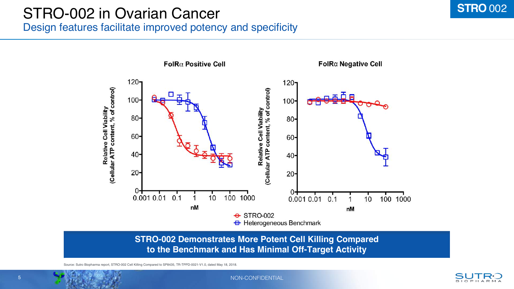### STRO-002 in Ovarian Cancer Design features facilitate improved potency and specificity



**STRO-002 Demonstrates More Potent Cell Killing Compared to the Benchmark and Has Minimal Off-Target Activity**

Source: Sutro Biopharma report, STRO-002 Cell Killing Compared to SP8435, TR-TPPD-0021-V1.0, dated May 18, 2018.



**STRO** 002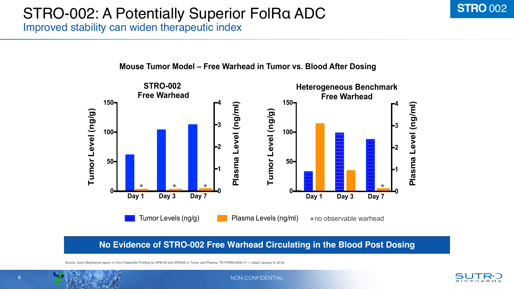

# STRO-002: A Potentially Superior FolRα ADC

Improved stability can widen therapeutic index



**Mouse Tumor Model – Free Warhead in Tumor vs. Blood After Dosing**  $M_{\odot}$  and  $N_{\rm H}$  and  $N_{\rm H}$  and  $N_{\rm H}$  in  $\sigma$  are warhead in Tumor vs. Blood After

**No Evidence of STRO-002 Free Warhead Circulating in the Blood Post Dosing**

Source: Sutro Biopharma report, In Vivo Catabolite Profiling for SP8193 and SP8435 in Tumor and Plasma, TR-PHRM-0036-V1.1, dated January 8, 2018.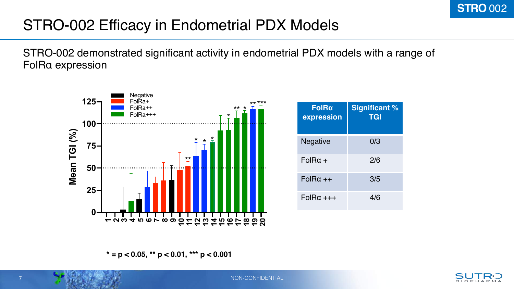## STRO-002 Efficacy in Endometrial PDX Models

STRO-002 demonstrated significant activity in endometrial PDX models with a range of FolRα expression



| <b>FolRα</b><br>expression | <b>Significant %</b><br><b>TGI</b> |
|----------------------------|------------------------------------|
| <b>Negative</b>            | 0/3                                |
| $FolRa +$                  | 2/6                                |
| $FolRa + +$                | 3/5                                |
| $FolRa + ++$               | 4/6                                |

**\* = p < 0.05, \*\* p < 0.01, \*\*\* p < 0.001**

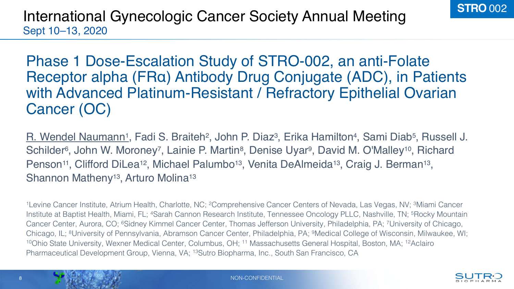### International Gynecologic Cancer Society Annual Meeting Sept 10–13, 2020

Phase 1 Dose-Escalation Study of STRO-002, an anti-Folate Receptor alpha (FRα) Antibody Drug Conjugate (ADC), in Patients with Advanced Platinum-Resistant / Refractory Epithelial Ovarian Cancer (OC)

R. Wendel Naumann<sup>1</sup>, Fadi S. Braiteh<sup>2</sup>, John P. Diaz<sup>3</sup>, Erika Hamilton<sup>4</sup>, Sami Diab<sup>5</sup>, Russell J. Schilder<sup>6</sup>, John W. Moroney<sup>7</sup>, Lainie P. Martin<sup>8</sup>, Denise Uyar<sup>9</sup>, David M. O'Malley<sup>10</sup>, Richard Penson<sup>11</sup>, Clifford DiLea<sup>12</sup>, Michael Palumbo<sup>13</sup>, Venita DeAlmeida<sup>13</sup>, Craig J. Berman<sup>13</sup>, Shannon Matheny<sup>13</sup>, Arturo Molina<sup>13</sup>

<sup>1</sup> Levine Cancer Institute, Atrium Health, Charlotte, NC; <sup>2</sup>Comprehensive Cancer Centers of Nevada, Las Vegas, NV; <sup>3</sup> Miami Cancer Institute at Baptist Health, Miami, FL; 4Sarah Cannon Research Institute, Tennessee Oncology PLLC, Nashville, TN; 5Rocky Mountain Cancer Center, Aurora, CO; 6Sidney Kimmel Cancer Center, Thomas Jefferson University, Philadelphia, PA; 7University of Chicago, Chicago, IL; 8University of Pennsylvania, Abramson Cancer Center, Philadelphia, PA; 9Medical College of Wisconsin, Milwaukee, WI; 10Ohio State University, Wexner Medical Center, Columbus, OH; <sup>11</sup> Massachusetts General Hospital, Boston, MA; 12Aclairo Pharmaceutical Development Group, Vienna, VA; 13Sutro Biopharma, Inc., South San Francisco, CA

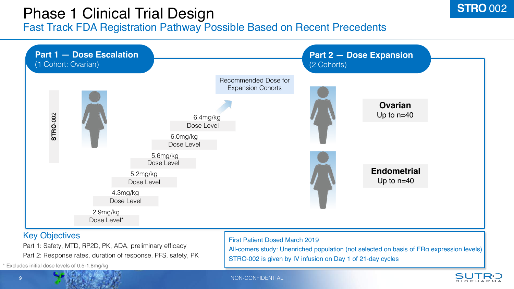### Phase 1 Clinical Trial Design Fast Track FDA Registration Pathway Possible Based on Recent Precedents



\* Excludes initial dose levels of 0.5-1.8mg/kg

#### NON-CONFIDENTIAL



**STRO** 002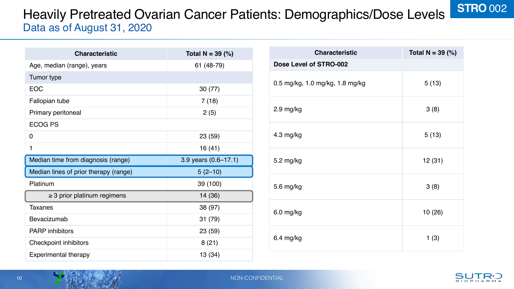#### Heavily Pretreated Ovarian Cancer Patients: Demographics/Dose Levels Data as of August 31, 2020

| <b>Characteristic</b>                 | Total N = $39$ (%)   |  |  |
|---------------------------------------|----------------------|--|--|
| Age, median (range), years            | 61 (48-79)           |  |  |
| Tumor type                            |                      |  |  |
| <b>EOC</b>                            | 30(77)               |  |  |
| Fallopian tube                        | 7(18)                |  |  |
| Primary peritoneal                    | 2(5)                 |  |  |
| <b>ECOG PS</b>                        |                      |  |  |
| 0                                     | 23 (59)              |  |  |
| 1                                     | 16 (41)              |  |  |
|                                       |                      |  |  |
| Median time from diagnosis (range)    | 3.9 years (0.6-17.1) |  |  |
| Median lines of prior therapy (range) | $5(2-10)$            |  |  |
| Platinum                              | 39 (100)             |  |  |
| $\geq$ 3 prior platinum regimens      | 14 (36)              |  |  |
| Taxanes                               | 38 (97)              |  |  |
| Bevacizumab                           | 31(79)               |  |  |
| <b>PARP</b> inhibitors                | 23 (59)              |  |  |
| <b>Checkpoint inhibitors</b>          | 8(21)                |  |  |

| <b>Characteristic</b>           | Total $N = 39$ (%) |  |  |  |
|---------------------------------|--------------------|--|--|--|
| Dose Level of STRO-002          |                    |  |  |  |
| 0.5 mg/kg, 1.0 mg/kg, 1.8 mg/kg | 5(13)              |  |  |  |
| $2.9$ mg/kg                     | 3(8)               |  |  |  |
| 4.3 mg/kg                       | 5(13)              |  |  |  |
| 5.2 mg/kg                       | 12(31)             |  |  |  |
| 5.6 mg/kg                       | 3(8)               |  |  |  |
| 6.0 mg/kg                       | 10(26)             |  |  |  |
| 6.4 mg/kg                       | 1(3)               |  |  |  |



**STRO** 002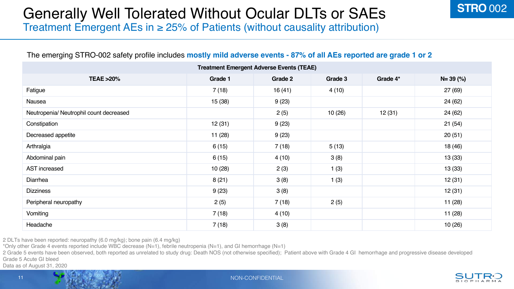#### Generally Well Tolerated Without Ocular DLTs or SAEs Treatment Emergent AEs in  $\geq$  25% of Patients (without causality attribution)

#### The emerging STRO-002 safety profile includes **mostly mild adverse events - 87% of all AEs reported are grade 1 or 2**

| <b>Treatment Emergent Adverse Events (TEAE)</b> |         |         |         |          |              |  |
|-------------------------------------------------|---------|---------|---------|----------|--------------|--|
| <b>TEAE &gt;20%</b>                             | Grade 1 | Grade 2 | Grade 3 | Grade 4* | $N = 39$ (%) |  |
| Fatigue                                         | 7(18)   | 16(41)  | 4(10)   |          | 27(69)       |  |
| Nausea                                          | 15(38)  | 9(23)   |         |          | 24 (62)      |  |
| Neutropenia/ Neutrophil count decreased         |         | 2(5)    | 10(26)  | 12(31)   | 24(62)       |  |
| Constipation                                    | 12(31)  | 9(23)   |         |          | 21(54)       |  |
| Decreased appetite                              | 11(28)  | 9(23)   |         |          | 20(51)       |  |
| Arthralgia                                      | 6(15)   | 7(18)   | 5(13)   |          | 18 (46)      |  |
| Abdominal pain                                  | 6(15)   | 4(10)   | 3(8)    |          | 13(33)       |  |
| AST increased                                   | 10(28)  | 2(3)    | 1(3)    |          | 13(33)       |  |
| Diarrhea                                        | 8(21)   | 3(8)    | 1(3)    |          | 12(31)       |  |
| <b>Dizziness</b>                                | 9(23)   | 3(8)    |         |          | 12(31)       |  |
| Peripheral neuropathy                           | 2(5)    | 7(18)   | 2(5)    |          | 11(28)       |  |
| Vomiting                                        | 7(18)   | 4(10)   |         |          | 11(28)       |  |
| Headache                                        | 7(18)   | 3(8)    |         |          | 10(26)       |  |

2 DLTs have been reported: neuropathy (6.0 mg/kg); bone pain (6.4 mg/kg)

\*Only other Grade 4 events reported include WBC decrease (N=1), febrile neutropenia (N=1), and GI hemorrhage (N=1)

2 Grade 5 events have been observed, both reported as unrelated to study drug: Death NOS (not otherwise specified); Patient above with Grade 4 GI hemorrhage and progressive disease developed Grade 5 Acute GI bleed

Data as of August 31, 2020

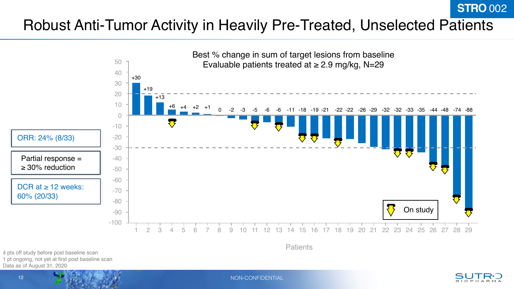## Robust Anti-Tumor Activity in Heavily Pre-Treated, Unselected Patients



**Patients** 

4 pts off study before post baseline scan 1 pt ongoing, not yet at first post baseline scan Data as of August 31, 2020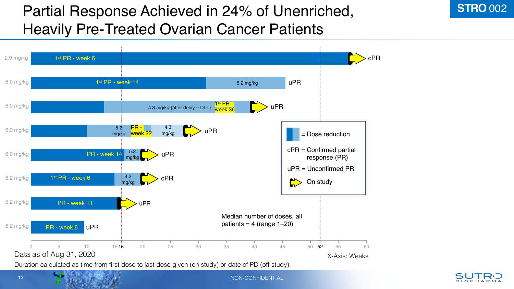# Partial Response Achieved in 24% of Unenriched, Heavily Pre-Treated Ovarian Cancer Patients



Duration calculated as time from first dose to last dose given (on study) or date of PD (off study).



**STRO** 002

NON-CONFIDENTIAL

13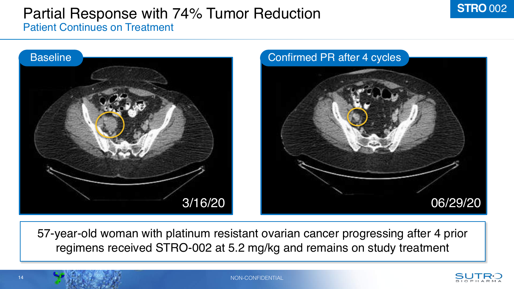

#### Partial Response with 74% Tumor Reduction Patient Continues on Treatment





57-year-old woman with platinum resistant ovarian cancer progressing after 4 prior regimens received STRO-002 at 5.2 mg/kg and remains on study treatment

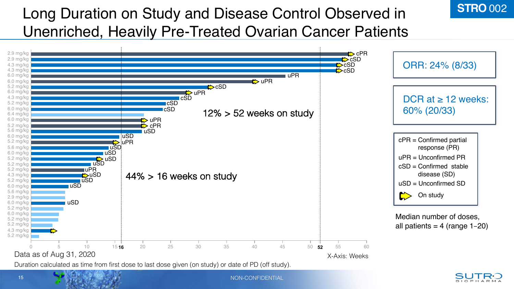# Long Duration on Study and Disease Control Observed in Unenriched, Heavily Pre-Treated Ovarian Cancer Patients





**STRO** 002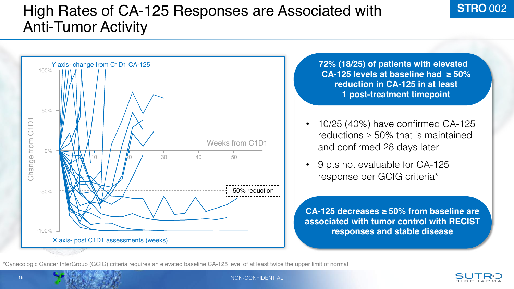## High Rates of CA-125 Responses are Associated with **STRO 002** Anti-Tumor Activity



**72% (18/25) of patients with elevated CA-125 levels at baseline had ≥ 50% reduction in CA-125 in at least 1 post-treatment timepoint** 

- 10/25 (40%) have confirmed CA-125 reductions  $\geq 50\%$  that is maintained and confirmed 28 days later
- 9 pts not evaluable for CA-125 response per GCIG criteria\*

**CA-125 decreases ≥ 50% from baseline are associated with tumor control with RECIST responses and stable disease** 

\*Gynecologic Cancer InterGroup (GCIG) criteria requires an elevated baseline CA-125 level of at least twice the upper limit of normal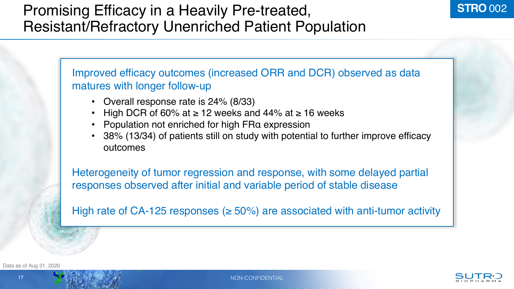## Promising Efficacy in a Heavily Pre-treated, Resistant/Refractory Unenriched Patient Population

Improved efficacy outcomes (increased ORR and DCR) observed as data matures with longer follow-up

- Overall response rate is 24% (8/33)
- High DCR of 60% at  $\geq$  12 weeks and 44% at  $\geq$  16 weeks
- Population not enriched for high FRα expression
- 38% (13/34) of patients still on study with potential to further improve efficacy outcomes

Heterogeneity of tumor regression and response, with some delayed partial responses observed after initial and variable period of stable disease

High rate of CA-125 responses ( $\geq$  50%) are associated with anti-tumor activity



**STRO** 002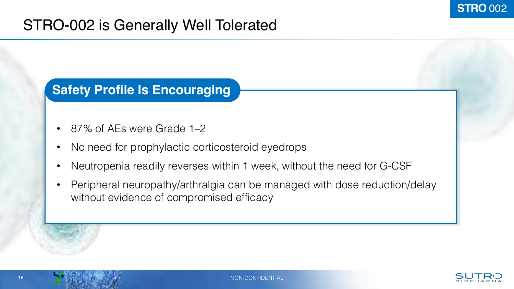## STRO-002 is Generally Well Tolerated

### **Safety Profile Is Encouraging**

- 87% of AEs were Grade 1–2
- No need for prophylactic corticosteroid eyedrops
- Neutropenia readily reverses within 1 week, without the need for G-CSF
- Peripheral neuropathy/arthralgia can be managed with dose reduction/delay without evidence of compromised efficacy

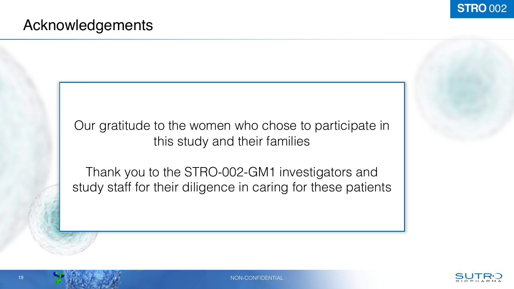Our gratitude to the women who chose to participate in this study and their families

Thank you to the STRO-002-GM1 investigators and study staff for their diligence in caring for these patients

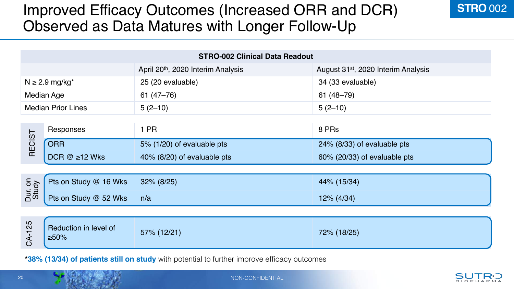## Improved Efficacy Outcomes (Increased ORR and DCR) Observed as Data Matures with Longer Follow-Up

| <b>STRO-002 Clinical Data Readout</b> |                                      |                                   |                                                 |  |
|---------------------------------------|--------------------------------------|-----------------------------------|-------------------------------------------------|--|
|                                       |                                      | April 20th, 2020 Interim Analysis | August 31 <sup>st</sup> , 2020 Interim Analysis |  |
| $N \geq 2.9$ mg/kg <sup>*</sup>       |                                      | 25 (20 evaluable)                 | 34 (33 evaluable)                               |  |
| <b>Median Age</b>                     |                                      | $61(47-76)$                       | $61(48 - 79)$                                   |  |
| <b>Median Prior Lines</b>             |                                      | $5(2-10)$                         | $5(2-10)$                                       |  |
|                                       |                                      |                                   |                                                 |  |
|                                       | Responses                            | 1 PR                              | 8 PRs                                           |  |
| <b>RECIST</b>                         | <b>ORR</b>                           | 5% (1/20) of evaluable pts        | 24% (8/33) of evaluable pts                     |  |
|                                       | DCR $@>12$ Wks                       | 40% (8/20) of evaluable pts       | 60% (20/33) of evaluable pts                    |  |
|                                       |                                      |                                   |                                                 |  |
| Dur.on<br>Study                       | Pts on Study @ 16 Wks                | $32\% (8/25)$                     | 44% (15/34)                                     |  |
|                                       | Pts on Study @ 52 Wks                | n/a                               | $12\%$ (4/34)                                   |  |
|                                       |                                      |                                   |                                                 |  |
| CA-125                                | Reduction in level of<br>$\geq 50\%$ | 57% (12/21)                       | 72% (18/25)                                     |  |

\***38% (13/34) of patients still on study** with potential to further improve efficacy outcomes

**STRO** 002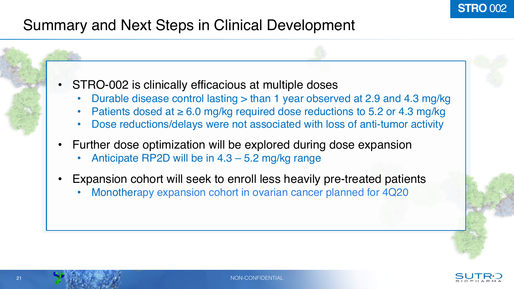## Summary and Next Steps in Clinical Development

- STRO-002 is clinically efficacious at multiple doses
	- Durable disease control lasting > than 1 year observed at 2.9 and 4.3 mg/kg
	- Patients dosed at ≥ 6.0 mg/kg required dose reductions to 5.2 or 4.3 mg/kg
	- Dose reductions/delays were not associated with loss of anti-tumor activity
- Further dose optimization will be explored during dose expansion
	- Anticipate RP2D will be in  $4.3 5.2$  mg/kg range
- Expansion cohort will seek to enroll less heavily pre-treated patients
	- Monotherapy expansion cohort in ovarian cancer planned for 4Q20